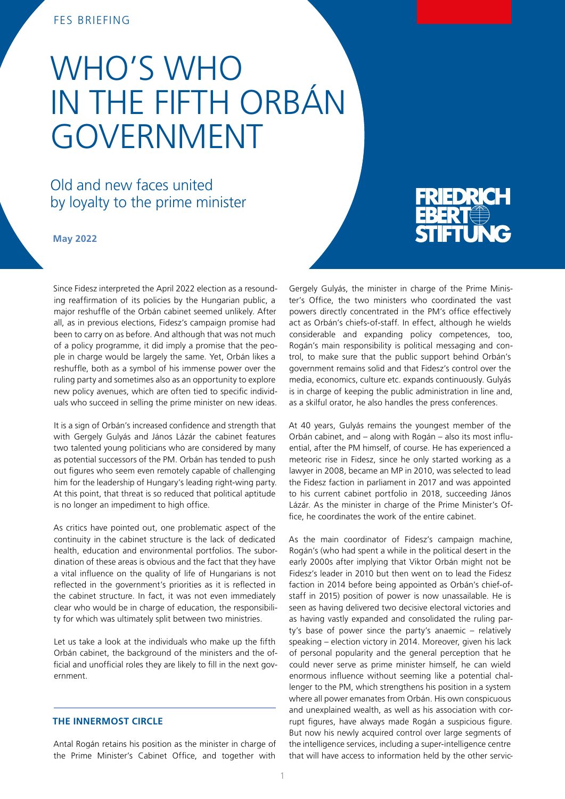# FES BRIEFING

# WHO'S WHO IN THE FIFTH ORBÁN GOVERNMENT

# Old and new faces united by loyalty to the prime minister

**May 2022** 

EBERT STIFTUNG

Since Fidesz interpreted the April 2022 election as a resounding reaffirmation of its policies by the Hungarian public, a major reshuffle of the Orbán cabinet seemed unlikely. After all, as in previous elections, Fidesz's campaign promise had been to carry on as before. And although that was not much of a policy programme, it did imply a promise that the people in charge would be largely the same. Yet, Orbán likes a reshuffle, both as a symbol of his immense power over the ruling party and sometimes also as an opportunity to explore new policy avenues, which are often tied to specific individuals who succeed in selling the prime minister on new ideas.

It is a sign of Orbán's increased confidence and strength that with Gergely Gulyás and János Lázár the cabinet features two talented young politicians who are considered by many as potential successors of the PM. Orbán has tended to push out figures who seem even remotely capable of challenging him for the leadership of Hungary's leading right-wing party. At this point, that threat is so reduced that political aptitude is no longer an impediment to high office.

As critics have pointed out, one problematic aspect of the continuity in the cabinet structure is the lack of dedicated health, education and environmental portfolios. The subordination of these areas is obvious and the fact that they have a vital influence on the quality of life of Hungarians is not reflected in the government's priorities as it is reflected in the cabinet structure. In fact, it was not even immediately clear who would be in charge of education, the responsibility for which was ultimately split between two ministries.

Let us take a look at the individuals who make up the fifth Orbán cabinet, the background of the ministers and the official and unofficial roles they are likely to fill in the next government.

# **THE INNERMOST CIRCLE**

Antal Rogán retains his position as the minister in charge of the Prime Minister's Cabinet Office, and together with

Gergely Gulyás, the minister in charge of the Prime Minister's Office, the two ministers who coordinated the vast powers directly concentrated in the PM's office effectively act as Orbán's chiefs-of-staff. In effect, although he wields considerable and expanding policy competences, too, Rogán's main responsibility is political messaging and control, to make sure that the public support behind Orbán's government remains solid and that Fidesz's control over the media, economics, culture etc. expands continuously. Gulyás is in charge of keeping the public administration in line and, as a skilful orator, he also handles the press conferences.

At 40 years, Gulyás remains the youngest member of the Orbán cabinet, and – along with Rogán – also its most influential, after the PM himself, of course. He has experienced a meteoric rise in Fidesz, since he only started working as a lawyer in 2008, became an MP in 2010, was selected to lead the Fidesz faction in parliament in 2017 and was appointed to his current cabinet portfolio in 2018, succeeding János Lázár. As the minister in charge of the Prime Minister's Office, he coordinates the work of the entire cabinet.

As the main coordinator of Fidesz's campaign machine, Rogán's (who had spent a while in the political desert in the early 2000s after implying that Viktor Orbán might not be Fidesz's leader in 2010 but then went on to lead the Fidesz faction in 2014 before being appointed as Orbán's chief-ofstaff in 2015) position of power is now unassailable. He is seen as having delivered two decisive electoral victories and as having vastly expanded and consolidated the ruling party's base of power since the party's anaemic – relatively speaking – election victory in 2014. Moreover, given his lack of personal popularity and the general perception that he could never serve as prime minister himself, he can wield enormous influence without seeming like a potential challenger to the PM, which strengthens his position in a system where all power emanates from Orbán. His own conspicuous and unexplained wealth, as well as his association with corrupt figures, have always made Rogán a suspicious figure. But now his newly acquired control over large segments of the intelligence services, including a super-intelligence centre that will have access to information held by the other servic-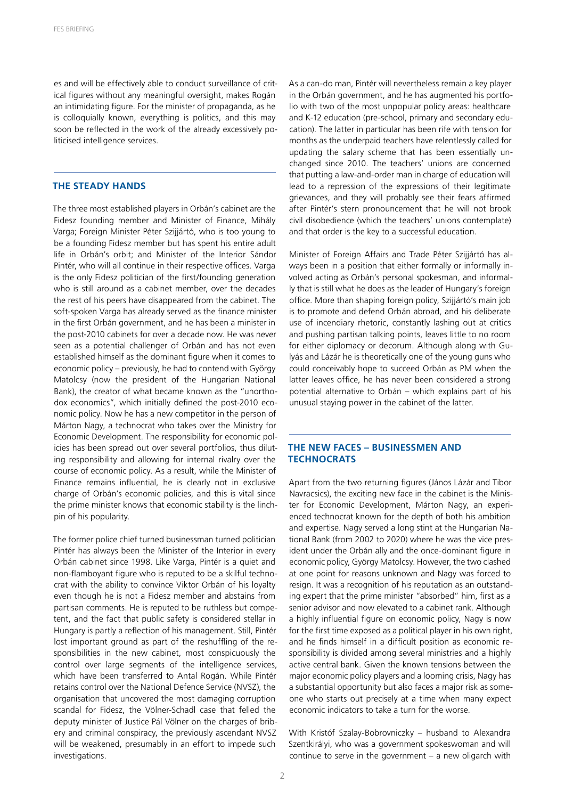es and will be effectively able to conduct surveillance of critical figures without any meaningful oversight, makes Rogán an intimidating figure. For the minister of propaganda, as he is colloquially known, everything is politics, and this may soon be reflected in the work of the already excessively politicised intelligence services.

#### **THE STEADY HANDS**

The three most established players in Orbán's cabinet are the Fidesz founding member and Minister of Finance, Mihály Varga; Foreign Minister Péter Szijjártó, who is too young to be a founding Fidesz member but has spent his entire adult life in Orbán's orbit; and Minister of the Interior Sándor Pintér, who will all continue in their respective offices. Varga is the only Fidesz politician of the first/founding generation who is still around as a cabinet member, over the decades the rest of his peers have disappeared from the cabinet. The soft-spoken Varga has already served as the finance minister in the first Orbán government, and he has been a minister in the post-2010 cabinets for over a decade now. He was never seen as a potential challenger of Orbán and has not even established himself as the dominant figure when it comes to economic policy – previously, he had to contend with György Matolcsy (now the president of the Hungarian National Bank), the creator of what became known as the "unorthodox economics", which initially defined the post-2010 economic policy. Now he has a new competitor in the person of Márton Nagy, a technocrat who takes over the Ministry for Economic Development. The responsibility for economic policies has been spread out over several portfolios, thus diluting responsibility and allowing for internal rivalry over the course of economic policy. As a result, while the Minister of Finance remains influential, he is clearly not in exclusive charge of Orbán's economic policies, and this is vital since the prime minister knows that economic stability is the linchpin of his popularity.

The former police chief turned businessman turned politician Pintér has always been the Minister of the Interior in every Orbán cabinet since 1998. Like Varga, Pintér is a quiet and non-flamboyant figure who is reputed to be a skilful technocrat with the ability to convince Viktor Orbán of his loyalty even though he is not a Fidesz member and abstains from partisan comments. He is reputed to be ruthless but competent, and the fact that public safety is considered stellar in Hungary is partly a reflection of his management. Still, Pintér lost important ground as part of the reshuffling of the responsibilities in the new cabinet, most conspicuously the control over large segments of the intelligence services, which have been transferred to Antal Rogán. While Pintér retains control over the National Defence Service (NVSZ), the organisation that uncovered the most damaging corruption scandal for Fidesz, the Völner-Schadl case that felled the deputy minister of Justice Pál Völner on the charges of bribery and criminal conspiracy, the previously ascendant NVSZ will be weakened, presumably in an effort to impede such investigations.

As a can-do man, Pintér will nevertheless remain a key player in the Orbán government, and he has augmented his portfolio with two of the most unpopular policy areas: healthcare and K-12 education (pre-school, primary and secondary education). The latter in particular has been rife with tension for months as the underpaid teachers have relentlessly called for updating the salary scheme that has been essentially unchanged since 2010. The teachers' unions are concerned that putting a law-and-order man in charge of education will lead to a repression of the expressions of their legitimate grievances, and they will probably see their fears affirmed after Pintér's stern pronouncement that he will not brook civil disobedience (which the teachers' unions contemplate) and that order is the key to a successful education.

Minister of Foreign Affairs and Trade Péter Szijjártó has always been in a position that either formally or informally involved acting as Orbán's personal spokesman, and informally that is still what he does as the leader of Hungary's foreign office. More than shaping foreign policy, Szijjártó's main job is to promote and defend Orbán abroad, and his deliberate use of incendiary rhetoric, constantly lashing out at critics and pushing partisan talking points, leaves little to no room for either diplomacy or decorum. Although along with Gulyás and Lázár he is theoretically one of the young guns who could conceivably hope to succeed Orbán as PM when the latter leaves office, he has never been considered a strong potential alternative to Orbán – which explains part of his unusual staying power in the cabinet of the latter.

# **THE NEW FACES – BUSINESSMEN AND TECHNOCRATS**

Apart from the two returning figures (János Lázár and Tibor Navracsics), the exciting new face in the cabinet is the Minister for Economic Development, Márton Nagy, an experienced technocrat known for the depth of both his ambition and expertise. Nagy served a long stint at the Hungarian National Bank (from 2002 to 2020) where he was the vice president under the Orbán ally and the once-dominant figure in economic policy, György Matolcsy. However, the two clashed at one point for reasons unknown and Nagy was forced to resign. It was a recognition of his reputation as an outstanding expert that the prime minister "absorbed" him, first as a senior advisor and now elevated to a cabinet rank. Although a highly influential figure on economic policy, Nagy is now for the first time exposed as a political player in his own right, and he finds himself in a difficult position as economic responsibility is divided among several ministries and a highly active central bank. Given the known tensions between the major economic policy players and a looming crisis, Nagy has a substantial opportunity but also faces a major risk as someone who starts out precisely at a time when many expect economic indicators to take a turn for the worse.

With Kristóf Szalay-Bobrovniczky – husband to Alexandra Szentkirályi, who was a government spokeswoman and will continue to serve in the government – a new oligarch with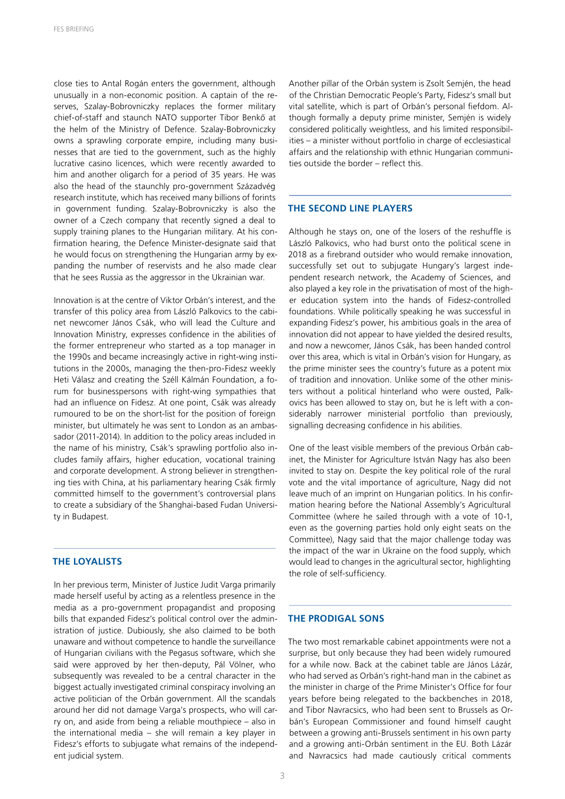close ties to Antal Rogán enters the government, although unusually in a non-economic position. A captain of the reserves, Szalay-Bobrovniczky replaces the former military chief-of-staff and staunch NATO supporter Tibor Benkő at the helm of the Ministry of Defence. Szalay-Bobrovniczky owns a sprawling corporate empire, including many businesses that are tied to the government, such as the highly lucrative casino licences, which were recently awarded to him and another oligarch for a period of 35 years. He was also the head of the staunchly pro-government Századvég research institute, which has received many billions of forints in government funding. Szalay-Bobrovniczky is also the owner of a Czech company that recently signed a deal to supply training planes to the Hungarian military. At his confirmation hearing, the Defence Minister-designate said that he would focus on strengthening the Hungarian army by expanding the number of reservists and he also made clear that he sees Russia as the aggressor in the Ukrainian war.

Innovation is at the centre of Viktor Orbán's interest, and the transfer of this policy area from László Palkovics to the cabinet newcomer János Csák, who will lead the Culture and Innovation Ministry, expresses confidence in the abilities of the former entrepreneur who started as a top manager in the 1990s and became increasingly active in right-wing institutions in the 2000s, managing the then-pro-Fidesz weekly Heti Válasz and creating the Széll Kálmán Foundation, a forum for businesspersons with right-wing sympathies that had an influence on Fidesz. At one point, Csák was already rumoured to be on the short-list for the position of foreign minister, but ultimately he was sent to London as an ambassador (2011-2014). In addition to the policy areas included in the name of his ministry, Csák's sprawling portfolio also includes family affairs, higher education, vocational training and corporate development. A strong believer in strengthening ties with China, at his parliamentary hearing Csák firmly committed himself to the government's controversial plans to create a subsidiary of the Shanghai-based Fudan University in Budapest.

#### **THE LOYALISTS**

In her previous term, Minister of Justice Judit Varga primarily made herself useful by acting as a relentless presence in the media as a pro-government propagandist and proposing bills that expanded Fidesz's political control over the administration of justice. Dubiously, she also claimed to be both unaware and without competence to handle the surveillance of Hungarian civilians with the Pegasus software, which she said were approved by her then-deputy, Pál Völner, who subsequently was revealed to be a central character in the biggest actually investigated criminal conspiracy involving an active politician of the Orbán government. All the scandals around her did not damage Varga's prospects, who will carry on, and aside from being a reliable mouthpiece – also in the international media – she will remain a key player in Fidesz's efforts to subjugate what remains of the independent judicial system.

Another pillar of the Orbán system is Zsolt Semjén, the head of the Christian Democratic People's Party, Fidesz's small but vital satellite, which is part of Orbán's personal fiefdom. Although formally a deputy prime minister, Semjén is widely considered politically weightless, and his limited responsibilities – a minister without portfolio in charge of ecclesiastical affairs and the relationship with ethnic Hungarian communities outside the border – reflect this.

#### **THE SECOND LINE PLAYERS**

Although he stays on, one of the losers of the reshuffle is László Palkovics, who had burst onto the political scene in 2018 as a firebrand outsider who would remake innovation, successfully set out to subjugate Hungary's largest independent research network, the Academy of Sciences, and also played a key role in the privatisation of most of the higher education system into the hands of Fidesz-controlled foundations. While politically speaking he was successful in expanding Fidesz's power, his ambitious goals in the area of innovation did not appear to have yielded the desired results, and now a newcomer, János Csák, has been handed control over this area, which is vital in Orbán's vision for Hungary, as the prime minister sees the country's future as a potent mix of tradition and innovation. Unlike some of the other ministers without a political hinterland who were ousted, Palkovics has been allowed to stay on, but he is left with a considerably narrower ministerial portfolio than previously, signalling decreasing confidence in his abilities.

One of the least visible members of the previous Orbán cabinet, the Minister for Agriculture István Nagy has also been invited to stay on. Despite the key political role of the rural vote and the vital importance of agriculture, Nagy did not leave much of an imprint on Hungarian politics. In his confirmation hearing before the National Assembly's Agricultural Committee (where he sailed through with a vote of 10-1, even as the governing parties hold only eight seats on the Committee), Nagy said that the major challenge today was the impact of the war in Ukraine on the food supply, which would lead to changes in the agricultural sector, highlighting the role of self-sufficiency.

#### **THE PRODIGAL SONS**

The two most remarkable cabinet appointments were not a surprise, but only because they had been widely rumoured for a while now. Back at the cabinet table are János Lázár, who had served as Orbán's right-hand man in the cabinet as the minister in charge of the Prime Minister's Office for four years before being relegated to the backbenches in 2018, and Tibor Navracsics, who had been sent to Brussels as Orbán's European Commissioner and found himself caught between a growing anti-Brussels sentiment in his own party and a growing anti-Orbán sentiment in the EU. Both Lázár and Navracsics had made cautiously critical comments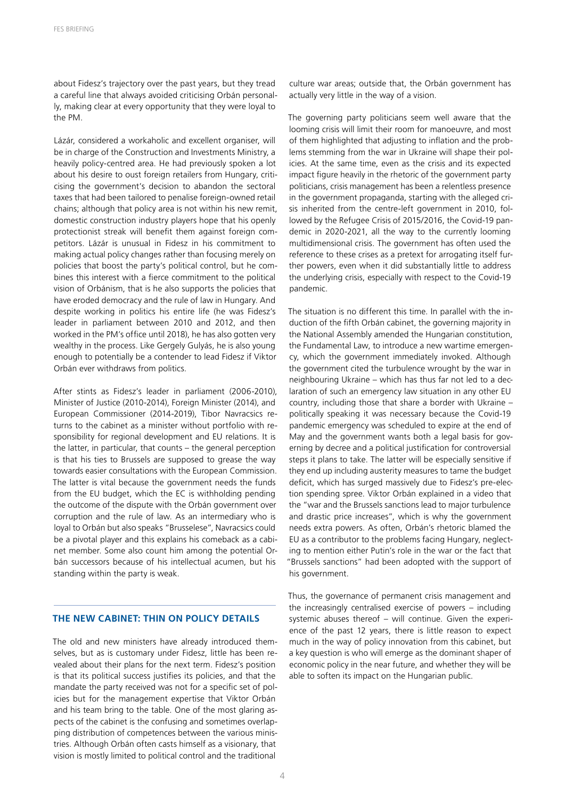about Fidesz's trajectory over the past years, but they tread a careful line that always avoided criticising Orbán personally, making clear at every opportunity that they were loyal to the PM.

Lázár, considered a workaholic and excellent organiser, will be in charge of the Construction and Investments Ministry, a heavily policy-centred area. He had previously spoken a lot about his desire to oust foreign retailers from Hungary, criticising the government's decision to abandon the sectoral taxes that had been tailored to penalise foreign-owned retail chains; although that policy area is not within his new remit, domestic construction industry players hope that his openly protectionist streak will benefit them against foreign competitors. Lázár is unusual in Fidesz in his commitment to making actual policy changes rather than focusing merely on policies that boost the party's political control, but he combines this interest with a fierce commitment to the political vision of Orbánism, that is he also supports the policies that have eroded democracy and the rule of law in Hungary. And despite working in politics his entire life (he was Fidesz's leader in parliament between 2010 and 2012, and then worked in the PM's office until 2018), he has also gotten very wealthy in the process. Like Gergely Gulyás, he is also young enough to potentially be a contender to lead Fidesz if Viktor Orbán ever withdraws from politics.

After stints as Fidesz's leader in parliament (2006-2010), Minister of Justice (2010-2014), Foreign Minister (2014), and European Commissioner (2014-2019), Tibor Navracsics returns to the cabinet as a minister without portfolio with responsibility for regional development and EU relations. It is the latter, in particular, that counts – the general perception is that his ties to Brussels are supposed to grease the way towards easier consultations with the European Commission. The latter is vital because the government needs the funds from the EU budget, which the EC is withholding pending the outcome of the dispute with the Orbán government over corruption and the rule of law. As an intermediary who is loyal to Orbán but also speaks "Brusselese", Navracsics could be a pivotal player and this explains his comeback as a cabinet member. Some also count him among the potential Orbán successors because of his intellectual acumen, but his standing within the party is weak.

# **THE NEW CABINET: THIN ON POLICY DETAILS**

The old and new ministers have already introduced themselves, but as is customary under Fidesz, little has been revealed about their plans for the next term. Fidesz's position is that its political success justifies its policies, and that the mandate the party received was not for a specific set of policies but for the management expertise that Viktor Orbán and his team bring to the table. One of the most glaring aspects of the cabinet is the confusing and sometimes overlapping distribution of competences between the various ministries. Although Orbán often casts himself as a visionary, that vision is mostly limited to political control and the traditional

culture war areas; outside that, the Orbán government has actually very little in the way of a vision.

The governing party politicians seem well aware that the looming crisis will limit their room for manoeuvre, and most of them highlighted that adjusting to inflation and the problems stemming from the war in Ukraine will shape their policies. At the same time, even as the crisis and its expected impact figure heavily in the rhetoric of the government party politicians, crisis management has been a relentless presence in the government propaganda, starting with the alleged crisis inherited from the centre-left government in 2010, followed by the Refugee Crisis of 2015/2016, the Covid-19 pandemic in 2020-2021, all the way to the currently looming multidimensional crisis. The government has often used the reference to these crises as a pretext for arrogating itself further powers, even when it did substantially little to address the underlying crisis, especially with respect to the Covid-19 pandemic.

The situation is no different this time. In parallel with the induction of the fifth Orbán cabinet, the governing majority in the National Assembly amended the Hungarian constitution, the Fundamental Law, to introduce a new wartime emergency, which the government immediately invoked. Although the government cited the turbulence wrought by the war in neighbouring Ukraine – which has thus far not led to a declaration of such an emergency law situation in any other EU country, including those that share a border with Ukraine – politically speaking it was necessary because the Covid-19 pandemic emergency was scheduled to expire at the end of May and the government wants both a legal basis for governing by decree and a political justification for controversial steps it plans to take. The latter will be especially sensitive if they end up including austerity measures to tame the budget deficit, which has surged massively due to Fidesz's pre-election spending spree. Viktor Orbán explained in a video that the "war and the Brussels sanctions lead to major turbulence and drastic price increases", which is why the government needs extra powers. As often, Orbán's rhetoric blamed the EU as a contributor to the problems facing Hungary, neglecting to mention either Putin's role in the war or the fact that "Brussels sanctions" had been adopted with the support of his government.

Thus, the governance of permanent crisis management and the increasingly centralised exercise of powers – including systemic abuses thereof – will continue. Given the experience of the past 12 years, there is little reason to expect much in the way of policy innovation from this cabinet, but a key question is who will emerge as the dominant shaper of economic policy in the near future, and whether they will be able to soften its impact on the Hungarian public.